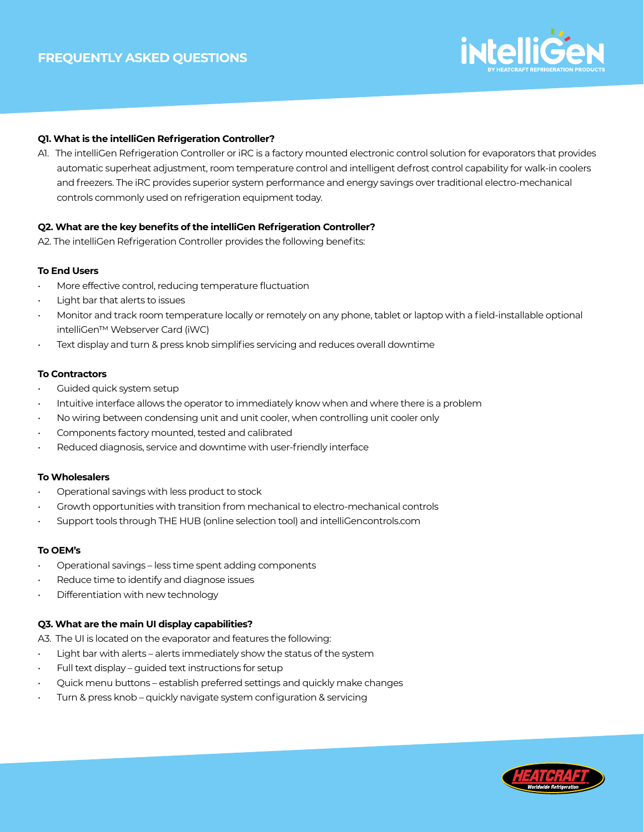

# **Q1. What is the intelliGen Refrigeration Controller?**

A1. The intelliGen Refrigeration Controller or iRC is a factory mounted electronic control solution for evaporators that provides automatic superheat adjustment, room temperature control and intelligent defrost control capability for walk-in coolers and freezers. The iRC provides superior system performance and energy savings over traditional electro-mechanical controls commonly used on refrigeration equipment today.

## **Q2. What are the key benefits of the intelliGen Refrigeration Controller?**

A2. The intelliGen Refrigeration Controller provides the following benefits:

# **To End Users**

- More effective control, reducing temperature fluctuation
- Light bar that alerts to issues
- Monitor and track room temperature locally or remotely on any phone, tablet or laptop with a field-installable optional intelliGen™ Webserver Card (iWC)
- Text display and turn & press knob simplifies servicing and reduces overall downtime

## **To Contractors**

- Guided quick system setup
- Intuitive interface allows the operator to immediately know when and where there is a problem
- No wiring between condensing unit and unit cooler, when controlling unit cooler only
- Components factory mounted, tested and calibrated
- Reduced diagnosis, service and downtime with user-friendly interface

### **To Wholesalers**

- Operational savings with less product to stock
- Growth opportunities with transition from mechanical to electro-mechanical controls
- Support tools through THE HUB (online selection tool) and intelliGencontrols.com

# **To OEM's**

- Operational savings less time spent adding components
- Reduce time to identify and diagnose issues
- Differentiation with new technology

# **Q3. What are the main UI display capabilities?**

A3. The UI is located on the evaporator and features the following:

- Light bar with alerts alerts immediately show the status of the system
- Full text display quided text instructions for setup
- Quick menu buttons establish preferred settings and quickly make changes
- Turn & press knob quickly navigate system configuration & servicing

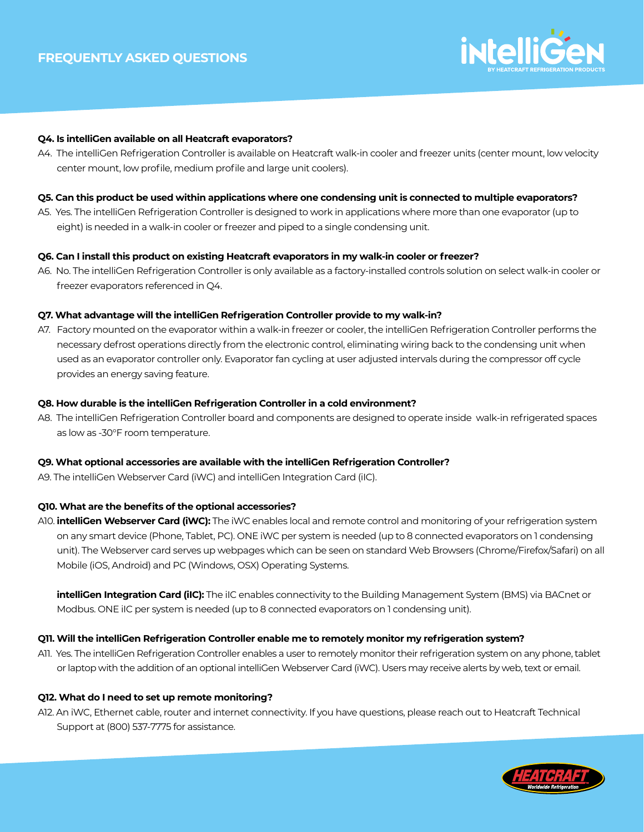

## **Q4. Is intelliGen available on all Heatcraft evaporators?**

A4. The intelliGen Refrigeration Controller is available on Heatcraft walk-in cooler and freezer units (center mount, low velocity center mount, low profile, medium profile and large unit coolers).

### **Q5. Can this product be used within applications where one condensing unit is connected to multiple evaporators?**

A5. Yes. The intelliGen Refrigeration Controller is designed to work in applications where more than one evaporator (up to eight) is needed in a walk-in cooler or freezer and piped to a single condensing unit.

## **Q6. Can I install this product on existing Heatcraft evaporators in my walk-in cooler or freezer?**

A6. No. The intelliGen Refrigeration Controller is only available as a factory-installed controls solution on select walk-in cooler or freezer evaporators referenced in Q4.

## **Q7. What advantage will the intelliGen Refrigeration Controller provide to my walk-in?**

A7. Factory mounted on the evaporator within a walk-in freezer or cooler, the intelliGen Refrigeration Controller performs the necessary defrost operations directly from the electronic control, eliminating wiring back to the condensing unit when used as an evaporator controller only. Evaporator fan cycling at user adjusted intervals during the compressor off cycle provides an energy saving feature.

### **Q8. How durable is the intelliGen Refrigeration Controller in a cold environment?**

A8. The intelliGen Refrigeration Controller board and components are designed to operate inside walk-in refrigerated spaces as low as -30°F room temperature.

### **Q9. What optional accessories are available with the intelliGen Refrigeration Controller?**

A9. The intelliGen Webserver Card (iWC) and intelliGen Integration Card (iIC).

### **Q10. What are the benefits of the optional accessories?**

A10. **intelliGen Webserver Card (iWC):** The iWC enables local and remote control and monitoring of your refrigeration system on any smart device (Phone, Tablet, PC). ONE iWC per system is needed (up to 8 connected evaporators on 1 condensing unit). The Webserver card serves up webpages which can be seen on standard Web Browsers (Chrome/Firefox/Safari) on all Mobile (iOS, Android) and PC (Windows, OSX) Operating Systems.

**intelliGen Integration Card (iIC):** The iIC enables connectivity to the Building Management System (BMS) via BACnet or Modbus. ONE iIC per system is needed (up to 8 connected evaporators on 1 condensing unit).

# **Q11. Will the intelliGen Refrigeration Controller enable me to remotely monitor my refrigeration system?**

A11. Yes. The intelliGen Refrigeration Controller enables a user to remotely monitor their refrigeration system on any phone, tablet or laptop with the addition of an optional intelliGen Webserver Card (iWC). Users may receive alerts by web, text or email.

### **Q12. What do I need to set up remote monitoring?**

A12. An iWC, Ethernet cable, router and internet connectivity. If you have questions, please reach out to Heatcraft Technical Support at (800) 537-7775 for assistance.